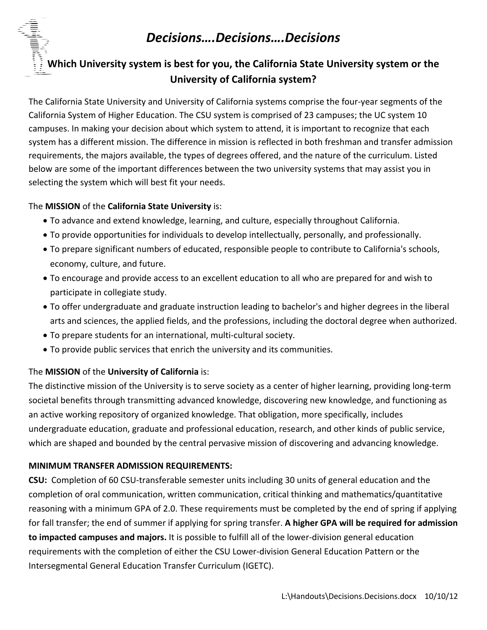# *Decisions….Decisions….Decisions*



The California State University and University of California systems comprise the four‐year segments of the California System of Higher Education. The CSU system is comprised of 23 campuses; the UC system 10 campuses. In making your decision about which system to attend, it is important to recognize that each system has a different mission. The difference in mission is reflected in both freshman and transfer admission requirements, the majors available, the types of degrees offered, and the nature of the curriculum. Listed below are some of the important differences between the two university systems that may assist you in selecting the system which will best fit your needs.

### The **MISSION** of the **California State University** is:

- To advance and extend knowledge, learning, and culture, especially throughout California.
- To provide opportunities for individuals to develop intellectually, personally, and professionally.
- To prepare significant numbers of educated, responsible people to contribute to California's schools, economy, culture, and future.
- To encourage and provide access to an excellent education to all who are prepared for and wish to participate in collegiate study.
- To offer undergraduate and graduate instruction leading to bachelor's and higher degrees in the liberal arts and sciences, the applied fields, and the professions, including the doctoral degree when authorized.
- To prepare students for an international, multi‐cultural society.
- To provide public services that enrich the university and its communities.

### The **MISSION** of the **University of California** is:

The distinctive mission of the University is to serve society as a center of higher learning, providing long‐term societal benefits through transmitting advanced knowledge, discovering new knowledge, and functioning as an active working repository of organized knowledge. That obligation, more specifically, includes undergraduate education, graduate and professional education, research, and other kinds of public service, which are shaped and bounded by the central pervasive mission of discovering and advancing knowledge.

### **MINIMUM TRANSFER ADMISSION REQUIREMENTS:**

**CSU:** Completion of 60 CSU‐transferable semester units including 30 units of general education and the completion of oral communication, written communication, critical thinking and mathematics/quantitative reasoning with a minimum GPA of 2.0. These requirements must be completed by the end of spring if applying for fall transfer; the end of summer if applying for spring transfer. **A higher GPA will be required for admission to impacted campuses and majors.** It is possible to fulfill all of the lower‐division general education requirements with the completion of either the CSU Lower‐division General Education Pattern or the Intersegmental General Education Transfer Curriculum (IGETC).